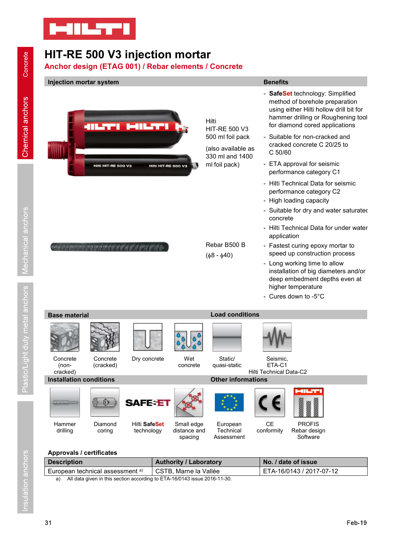

# HIT-RE 500 V3 injection mortar



# Approvals / certificates

| <b>Description</b>                          | <b>Authority / Laboratory</b>                                                                                             | No. / date of issue      |
|---------------------------------------------|---------------------------------------------------------------------------------------------------------------------------|--------------------------|
| European technical assessment <sup>a)</sup> | CSTB. Marne la Vallée                                                                                                     | ETA-16/0143 / 2017-07-12 |
| .                                           | $\frac{1}{1}$<br>$\begin{array}{c} \n\bullet \bullet \bullet \bullet \bullet \bullet \bullet \bullet \bullet \end{array}$ |                          |

spacing Assessment

**Software**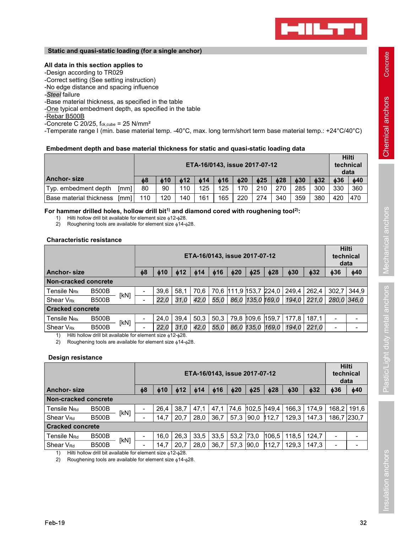

# Static and quasi-static loading (for a single anchor)

# -Design according to TR029

- -Base material thickness, as specified in the table<br>-<u>One</u> typical embedment depth, as specified in the table
- -Rebar B500B
- -Concrete C 20/25,  $f_{ck,cube} = 25$  N/mm<sup>2</sup>

Static and quasi-static loading (for a single anchor)<br>
All data in this section applies to<br>
-Design according to TR029<br>
-Correct setting (See setting influence<br>
-Steel failure<br>
-One typical embedment depth, as specified in -Sized latterial thickness, as specified in the table<br>
-<u>One</u> typical embedment depth, as specified in the table<br>
-Cencrete C 20/25, f<sub>ox-cube</sub> = 25 N/mm<sup>2</sup><br>
-Temperate range I (min. base material temp. -40°C, max. long te

# Embedment depth and base material thickness for static and quasi-static loading data

| -Steel failure<br>-Base material thickness, as specified in the table                                                                                                                                                                                 | -No edge distance and spacing influence |           |            |            |                  |           |                               |     |           |           |           |                                   |
|-------------------------------------------------------------------------------------------------------------------------------------------------------------------------------------------------------------------------------------------------------|-----------------------------------------|-----------|------------|------------|------------------|-----------|-------------------------------|-----|-----------|-----------|-----------|-----------------------------------|
| -One typical embedment depth, as specified in the table<br>-Rebar B500B<br>-Concrete C 20/25, $f_{ck, cube} = 25$ N/mm <sup>2</sup><br>-Temperate range I (min. base material temp. -40°C, max. long term/short term base material temp.: +24°C/40°C) |                                         |           |            |            |                  |           |                               |     |           |           |           |                                   |
| Embedment depth and base material thickness for static and quasi-static loading data                                                                                                                                                                  |                                         |           |            |            |                  |           | ETA-16/0143, issue 2017-07-12 |     |           |           |           | <b>Hilti</b><br>technical<br>data |
|                                                                                                                                                                                                                                                       | $\phi$ 8                                | $\phi$ 10 | $\phi$ 12  | $\phi$ 14  | $\phi$ 16<br>125 | $\phi$ 20 | $\phi$ 25                     | 028 | $\phi$ 30 | $\phi$ 32 | $\phi$ 36 | $\phi$ 40                         |
| <b>Anchor-size</b>                                                                                                                                                                                                                                    |                                         |           |            |            |                  | 170       | 210                           | 270 | 285       | 300       | 330       | 360                               |
| Typ. embedment depth<br>[mm]<br>Base material thickness<br>[mm]                                                                                                                                                                                       | 80<br>110                               | 90<br>120 | 110<br>140 | 125<br>161 | 165              | 220       | 274                           | 340 | 359       | 380       | 420       | 470                               |

# Characteristic resistance

| oloon ialiara<br>-Base material thickness, as specified in the table                                                                                   |      |          |           |           |      |                  |                               |           |           |           |           |           |                  |
|--------------------------------------------------------------------------------------------------------------------------------------------------------|------|----------|-----------|-----------|------|------------------|-------------------------------|-----------|-----------|-----------|-----------|-----------|------------------|
| -One typical embedment depth, as specified in the table                                                                                                |      |          |           |           |      |                  |                               |           |           |           |           |           |                  |
| -Rebar B500B                                                                                                                                           |      |          |           |           |      |                  |                               |           |           |           |           |           |                  |
| -Concrete C 20/25, $f_{ck,cube} = 25$ N/mm <sup>2</sup>                                                                                                |      |          |           |           |      |                  |                               |           |           |           |           |           |                  |
| -Temperate range I (min. base material temp. -40°C, max. long term/short term base material temp.: +24°C/40°C)                                         |      |          |           |           |      |                  |                               |           |           |           |           |           |                  |
| Embedment depth and base material thickness for static and quasi-static loading data                                                                   |      |          |           |           |      |                  |                               |           |           |           |           |           |                  |
|                                                                                                                                                        |      |          |           |           |      |                  |                               |           |           |           |           |           | Hilti            |
|                                                                                                                                                        |      |          |           |           |      |                  | ETA-16/0143, issue 2017-07-12 |           |           |           |           |           | technical        |
| <b>Anchor-size</b>                                                                                                                                     |      | $\phi$ 8 |           | 612       | 614  |                  |                               | $\phi$ 25 | $\phi$ 28 | $\phi$ 30 | $\phi$ 32 | $\phi$ 36 | data             |
| Typ. embedment depth                                                                                                                                   | [mm] | 80       | 610<br>90 | 110       | 125  | $\phi$ 16<br>125 | $\phi$ 20<br>170              | 210       | 270       | 285       | 300       | 330       | $\phi$ 40<br>360 |
| Base material thickness [mm]                                                                                                                           |      | 110      | 120       | 140       | 161  | 165              | 220                           | 274       | 340       | 359       | 380       | 420       | 470              |
|                                                                                                                                                        |      |          |           |           |      |                  |                               |           |           |           |           |           |                  |
| For hammer drilled holes, hollow drill bit <sup>1)</sup> and diamond cored with roughening tool <sup>2)</sup> :                                        |      |          |           |           |      |                  |                               |           |           |           |           |           |                  |
| Hilti hollow drill bit available for element size $\phi$ 12- $\phi$ 28.<br>1)<br>Roughening tools are available for element size $\phi$ 14- $\phi$ 28. |      |          |           |           |      |                  |                               |           |           |           |           |           |                  |
| 2)                                                                                                                                                     |      |          |           |           |      |                  |                               |           |           |           |           |           |                  |
| <b>Characteristic resistance</b>                                                                                                                       |      |          |           |           |      |                  |                               |           |           |           |           |           |                  |
|                                                                                                                                                        |      |          |           |           |      |                  |                               |           |           |           |           |           | <b>Hilti</b>     |
|                                                                                                                                                        |      |          |           |           |      |                  | ETA-16/0143, issue 2017-07-12 |           |           |           |           |           | technical        |
|                                                                                                                                                        |      |          |           |           |      |                  |                               |           |           |           |           |           | data             |
| <b>Anchor-size</b>                                                                                                                                     |      | $\phi$ 8 | $\phi$ 10 | $\phi$ 12 | ዕ14  | $\phi$ 16        | $\phi$ 20                     | $\phi$ 25 | $\phi$ 28 | $\phi$ 30 | $\phi$ 32 | $\phi$ 36 | $\phi$ 40        |
| Non-cracked concrete                                                                                                                                   |      |          |           |           |      |                  |                               |           |           |           |           |           |                  |
| <b>B500B</b><br>Tensile N <sub>Rk</sub>                                                                                                                | [KN] |          | 39,6      | 58,1      | 70,6 |                  | 70,6 111,9 153,7 224,0        |           |           | 249,4     | 262,4     | 302,7     | 344,9            |
| <b>B500B</b><br>Shear V <sub>Rk</sub>                                                                                                                  |      |          | 22,0      | 31,0      | 42,0 | 55,0             | 86,0 135,0 169,0              |           |           | 194,0     | 221,0     |           | 280,0 346,0      |
| <b>Cracked concrete</b>                                                                                                                                |      |          |           |           |      |                  |                               |           |           |           |           |           |                  |
| Tensile N <sub>Rk</sub><br><b>B500B</b>                                                                                                                | [kN] |          | 24,0      | 39,4      | 50,3 | 50,3             | 79,8 109,6 159,7              |           |           | 177,8     | 187,1     |           |                  |
| <b>B500B</b><br>Shear V <sub>Rk</sub>                                                                                                                  |      |          | 22,0      | 31,0      | 42,0 | 55,0             | 86,0 135,0 169,0              |           |           | 194,0     | 221,0     |           |                  |
| Hilti hollow drill bit available for element size $\phi$ 12- $\phi$ 28.<br>1)                                                                          |      |          |           |           |      |                  |                               |           |           |           |           |           |                  |
| 2)<br>Roughening tools are available for element size $\phi$ 14- $\phi$ 28.                                                                            |      |          |           |           |      |                  |                               |           |           |           |           |           |                  |
| Design resistance                                                                                                                                      |      |          |           |           |      |                  |                               |           |           |           |           |           |                  |
|                                                                                                                                                        |      |          |           |           |      |                  |                               |           |           |           |           |           | Hilti            |
|                                                                                                                                                        |      |          |           |           |      |                  | ETA-16/0143, issue 2017-07-12 |           |           |           |           |           | technical        |
|                                                                                                                                                        |      |          |           |           |      |                  |                               |           |           |           |           |           | data             |
| <b>Anchor-size</b>                                                                                                                                     |      | φ8       | $\phi$ 10 | ึ 12      | ዕ14  | $\phi$ 16        | 620                           | $\phi$ 25 | $\phi$ 28 | $\phi$ 30 | 032       | $\phi$ 36 | $\phi$ 40        |
| Non-cracked concrete                                                                                                                                   |      |          |           |           |      |                  |                               |           |           |           |           |           |                  |
| Tensile N <sub>Rd</sub><br><b>B500B</b>                                                                                                                |      |          | 26,4      | 38,7      | 47,1 | 47,1             | 74,6  102,5  149,4            |           |           | 166,3     | 174,9     |           | $168,2$ 191,6    |
| <b>B500B</b><br>Shear V <sub>Rd</sub>                                                                                                                  | [KN] |          | 14,7      | 20,7      | 28,0 | 36,7             | $57,3$ 90,0 12,7              |           |           | 129,3     | 147,3     |           | 186,7 230,7      |
| <b>Cracked concrete</b>                                                                                                                                |      |          |           |           |      |                  |                               |           |           |           |           |           |                  |
| <b>B500B</b><br>Tensile N <sub>Rd</sub>                                                                                                                |      |          | 16,0      | 26,3      | 33,5 |                  | $33,5$   53,2   73,0   106,5  |           |           | 118,5     | 124,7     |           | $\blacksquare$   |
| <b>B500B</b><br>Shear V <sub>Rd</sub>                                                                                                                  | [kN] |          | 14,7      | 20,7      | 28,0 |                  | $36,7$ 57,3 90,0 112,7        |           |           | 129,3     | 147,3     |           | $\sim$           |
| 1) Hilti hollow drill bit available for element size $\phi$ 12- $\phi$ 28.                                                                             |      |          |           |           |      |                  |                               |           |           |           |           |           |                  |
| 2) Roughening tools are available for element size $\frac{1}{2}$ 14- $\frac{1}{2}$ 28.                                                                 |      |          |           |           |      |                  |                               |           |           |           |           |           |                  |

|                                      |                                                                                                                                                  |      |          |           |           |           |           |             |                |                            |           |           |                          | data           |
|--------------------------------------|--------------------------------------------------------------------------------------------------------------------------------------------------|------|----------|-----------|-----------|-----------|-----------|-------------|----------------|----------------------------|-----------|-----------|--------------------------|----------------|
| <b>Anchor-size</b>                   |                                                                                                                                                  |      | $\phi$ 8 | $\phi$ 10 | $\phi$ 12 | $\phi$ 14 | $\phi$ 16 | $\phi$ 20   | $\phi$ 25      | $\phi$ 28                  | $\phi$ 30 | $\phi$ 32 | $\phi$ 36                | $\phi$ 40      |
| Non-cracked concrete                 |                                                                                                                                                  |      |          |           |           |           |           |             |                |                            |           |           |                          |                |
| <b>Tensile NRK</b>                   | <b>B500B</b>                                                                                                                                     |      |          | 39,6      | 58,1      | 70,6      | 70,6      |             |                | $111,9$ 153,7 224,0        | 249,4     | 262,4     | 302,7                    | 344,9          |
| Shear V <sub>Rk</sub>                | <b>B500B</b>                                                                                                                                     | [KN] |          | 22,0      | 31,0      | 42,0      | 55,0      |             |                | 86,0 135,0 169,0           | 194,0     | 221,0     |                          | 280,0 346,0    |
| <b>Cracked concrete</b>              |                                                                                                                                                  |      |          |           |           |           |           |             |                |                            |           |           |                          |                |
| Tensile N <sub>Rk</sub>              | <b>B500B</b>                                                                                                                                     | [KN] |          | 24,0      | 39,4      | 50,3      | 50,3      |             | 79,8 109,6     | 159,7                      | 177,8     | 187,1     |                          |                |
| Shear V <sub>Rk</sub>                | <b>B500B</b>                                                                                                                                     |      |          | 22,0      | 31,0      | 42,0      | 55,0      |             |                | 86,0 135,0 169,0           | 194,0     | 221,0     |                          |                |
| 1)<br>2)<br><b>Design resistance</b> | Hilti hollow drill bit available for element size \$12-\$28.<br>Roughening tools are available for element size $\phi$ 14- $\phi$ 28.            |      |          |           |           |           |           |             |                |                            |           |           |                          |                |
|                                      | ETA-16/0143, issue 2017-07-12                                                                                                                    |      |          |           |           |           |           |             |                | Hilti<br>technical<br>data |           |           |                          |                |
| <b>Anchor-size</b>                   |                                                                                                                                                  |      | $\phi$ 8 | $\phi$ 10 | $\phi$ 12 | $\phi$ 14 | $\phi$ 16 | $\phi$ 20   | $\phi$ 25      | $\phi$ 28                  | $\phi$ 30 | $\phi$ 32 | $\phi$ 36                | $\phi$ 40      |
| Non-cracked concrete                 |                                                                                                                                                  |      |          |           |           |           |           |             |                |                            |           |           |                          |                |
| Tensile N <sub>Rd</sub>              | <b>B500B</b>                                                                                                                                     |      |          | 26,4      | 38,7      | 47,1      | 47,1      | 74,6        |                | 102,5 149,4                | 166,3     | 174,9     | 168,2                    | 191,6          |
| Shear V <sub>Rd</sub>                | <b>B500B</b>                                                                                                                                     | [KN] |          | 14,7      | 20,7      | 28,0      | 36,7      | 57,3        | $ 90,0\rangle$ | 112,7                      | 129,3     | 147,3     |                          | 186,7 230,7    |
| <b>Cracked concrete</b>              |                                                                                                                                                  |      |          |           |           |           |           |             |                |                            |           |           |                          |                |
| Tensile N <sub>Rd</sub>              | <b>B500B</b>                                                                                                                                     | [KN] | $\sim$   | 16,0      | 26,3      | 33,5      | 33,5      | $53,2$ 73,0 |                | 106,5                      | 118,5     | 124,7     | $\overline{\phantom{a}}$ | $\blacksquare$ |
| Shear V <sub>Rd</sub>                | <b>B500B</b>                                                                                                                                     |      |          | 14,7      | 20,7      | 28,0      | 36,7      | 57,3 90,0   |                | 112,7                      | 129,3     | 147,3     |                          |                |
| 1)<br>(2)                            | Hilti hollow drill bit available for element size $\phi$ 12- $\phi$ 28.<br>Roughening tools are available for element size $\phi$ 14- $\phi$ 28. |      |          |           |           |           |           |             |                |                            |           |           |                          |                |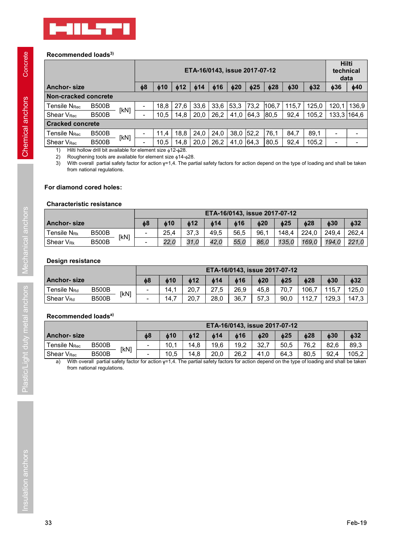

# Recommended loads<sup>3)</sup>

|                                                                                             | <b>MILTI</b>                                                                                                                                     |                |           |                        |                               |                  |           |                |           |           |                |                    |
|---------------------------------------------------------------------------------------------|--------------------------------------------------------------------------------------------------------------------------------------------------|----------------|-----------|------------------------|-------------------------------|------------------|-----------|----------------|-----------|-----------|----------------|--------------------|
|                                                                                             |                                                                                                                                                  |                |           |                        |                               |                  |           |                |           |           |                |                    |
|                                                                                             |                                                                                                                                                  |                |           |                        |                               |                  |           |                |           |           |                |                    |
|                                                                                             |                                                                                                                                                  |                |           |                        |                               |                  |           |                |           |           |                |                    |
|                                                                                             |                                                                                                                                                  |                |           |                        |                               |                  |           |                |           |           |                |                    |
|                                                                                             |                                                                                                                                                  |                |           |                        |                               |                  |           |                |           |           |                |                    |
|                                                                                             |                                                                                                                                                  |                |           |                        |                               |                  |           |                |           |           |                |                    |
|                                                                                             |                                                                                                                                                  |                |           |                        |                               |                  |           |                |           |           |                |                    |
| Recommended loads <sup>3)</sup>                                                             |                                                                                                                                                  |                |           |                        |                               |                  |           |                |           |           |                |                    |
|                                                                                             |                                                                                                                                                  |                |           |                        | ETA-16/0143, issue 2017-07-12 |                  |           |                |           |           |                | Hilti<br>technical |
|                                                                                             |                                                                                                                                                  |                |           |                        |                               |                  |           |                |           |           |                | data               |
| <b>Anchor-size</b>                                                                          |                                                                                                                                                  | $\phi$ 8       | $\phi$ 10 | $\phi$ 12<br>$\phi$ 14 | $\phi$ 16                     | $\phi$ 20        | $\phi$ 25 | $\phi$ 28      | $\phi$ 30 | $\phi$ 32 | $\phi$ 36      | $\phi$ 40          |
| Non-cracked concrete                                                                        |                                                                                                                                                  |                |           |                        |                               |                  |           |                |           |           |                |                    |
| Tensile N <sub>Rec</sub>                                                                    | <b>B500B</b><br>[KN]                                                                                                                             | $\blacksquare$ | 18,8      | 27,6<br>33,6           |                               | $33,6$ 53,3 73,2 |           | 106,7          | 115,7     | 125,0     | 120,1          | 136,9              |
| Shear V <sub>Rec</sub>                                                                      | <b>B500B</b>                                                                                                                                     | $\blacksquare$ | 10,5      | 14,8<br>20,0           | 26,2                          | 41,0 64,3        |           | $ 80,5\rangle$ | 92,4      | 105,2     |                | 133,3 164,6        |
| <b>Cracked concrete</b>                                                                     |                                                                                                                                                  |                |           |                        |                               |                  |           |                |           |           |                |                    |
| Tensile N <sub>Rec</sub>                                                                    | <b>B500B</b><br>[KN]                                                                                                                             |                | 11,4      | 18,8<br>24,0           | 24,0                          | $38,0$ 52,2      |           | 76,1           | 84,7      | 89,1      | $\blacksquare$ |                    |
| Shear V <sub>Rec</sub>                                                                      | <b>B500B</b>                                                                                                                                     |                | 10,5      | 20,0<br>14,8           |                               | $26,2$ 41,0 64,3 |           | 80,5           | 92,4      | 105,2     | $\sim$         | $\blacksquare$     |
| 1)<br>2)                                                                                    | Hilti hollow drill bit available for element size $\phi$ 12- $\phi$ 28.<br>Roughening tools are available for element size $\phi$ 14- $\phi$ 28. |                |           |                        |                               |                  |           |                |           |           |                |                    |
| 3)                                                                                          | With overall partial safety factor for action γ=1,4. The partial safety factors for action depend on the type of loading and shall be taken      |                |           |                        |                               |                  |           |                |           |           |                |                    |
|                                                                                             | from national regulations.                                                                                                                       |                |           |                        |                               |                  |           |                |           |           |                |                    |
| For diamond cored holes:                                                                    |                                                                                                                                                  |                |           |                        |                               |                  |           |                |           |           |                |                    |
|                                                                                             |                                                                                                                                                  |                |           |                        |                               |                  |           |                |           |           |                |                    |
|                                                                                             |                                                                                                                                                  |                |           |                        |                               |                  |           |                |           |           |                |                    |
|                                                                                             |                                                                                                                                                  |                |           |                        |                               |                  |           |                |           |           |                |                    |
| <b>Characteristic resistance</b>                                                            |                                                                                                                                                  |                |           |                        | ETA-16/0143, issue 2017-07-12 |                  |           |                |           |           |                |                    |
|                                                                                             |                                                                                                                                                  | $\phi$ 8       | $\phi$ 10 | $\phi$ 12              | $\phi$ 14                     | $\phi$ 16        | $\phi$ 20 |                | $\phi$ 25 | $\phi$ 28 | $\phi$ 30      | $\phi$ 32          |
|                                                                                             | <b>B500B</b>                                                                                                                                     | $\blacksquare$ | 25,4      | 37,3                   | 49,5                          | 56,5             | 96,1      |                | 148,4     | 224,0     | 249,4          | 262,4              |
|                                                                                             | [KN]<br><b>B500B</b>                                                                                                                             |                | 22,0      | 31,0                   | 42,0                          | 55,0             | 86,0      |                | 135,0     | 169,0     | 194,0          | 221,0              |
|                                                                                             |                                                                                                                                                  |                |           |                        |                               |                  |           |                |           |           |                |                    |
| <b>Anchor-size</b><br>Tensile N <sub>Rk</sub><br>Shear V <sub>Rk</sub><br>Design resistance |                                                                                                                                                  |                |           |                        |                               |                  |           |                |           |           |                |                    |
|                                                                                             |                                                                                                                                                  |                |           |                        | ETA-16/0143, issue 2017-07-12 |                  |           |                |           |           |                |                    |
| <b>Anchor-size</b>                                                                          |                                                                                                                                                  | $\phi$ 8       | $\phi$ 10 | $\phi$ 12              | $\phi$ 14                     | $\phi$ 16        | $\phi$ 20 |                | $\phi$ 25 | $\phi$ 28 | $\phi$ 30      | $\phi$ 32          |
| Tensile N <sub>Rd</sub>                                                                     | <b>B500B</b>                                                                                                                                     | $\sim$         | 14,1      | 20,7                   | 27,5                          | 26,9             | 45,8      |                | 70,7      | 106,7     | 115,7          | 125,0              |
| Shear V <sub>Rd</sub>                                                                       | [KN]<br><b>B500B</b>                                                                                                                             |                | 14,7      | 20,7                   | 28,0                          | 36,7             | 57,3      |                | 90,0      | 112,7     | 129,3          | 147,3              |
| Recommended loads <sup>a)</sup>                                                             |                                                                                                                                                  |                |           |                        |                               |                  |           |                |           |           |                |                    |

# For diamond cored holes:

# Characteristic resistance

|                                              |                                                                                                                                                                                                                                                                                                                               |                |           |              |           | 10,5   14,8   20,0   26,2   41,0   64,3   80,5 |           | 92,4      |           | 105,2   133,3   164,6    |           |
|----------------------------------------------|-------------------------------------------------------------------------------------------------------------------------------------------------------------------------------------------------------------------------------------------------------------------------------------------------------------------------------|----------------|-----------|--------------|-----------|------------------------------------------------|-----------|-----------|-----------|--------------------------|-----------|
| <b>Cracked concrete</b>                      |                                                                                                                                                                                                                                                                                                                               |                |           |              |           |                                                |           |           |           |                          |           |
| <b>Tensile NRec</b>                          | <b>B500B</b><br>[KN]                                                                                                                                                                                                                                                                                                          |                | 11,4      | 18,8<br>24,0 | 24,0      | $38,0$ 52,2                                    | 76,1      | 84,7      | 89,1      |                          |           |
| Shear V <sub>Rec</sub>                       | <b>B500B</b>                                                                                                                                                                                                                                                                                                                  |                | 10,5      |              |           | $14,8$   20,0   26,2   41,0   64,3   80,5      |           | 92,4      | 105,2     | $\overline{\phantom{0}}$ |           |
| 1)<br>2)<br>3)<br>For diamond cored holes:   | Hilti hollow drill bit available for element size $\phi$ 12- $\phi$ 28.<br>Roughening tools are available for element size $\phi$ 14- $\phi$ 28.<br>With overall partial safety factor for action y=1,4. The partial safety factors for action depend on the type of loading and shall be taken<br>from national regulations. |                |           |              |           |                                                |           |           |           |                          |           |
| <b>Characteristic resistance</b>             |                                                                                                                                                                                                                                                                                                                               |                |           |              |           |                                                |           |           |           |                          |           |
| <b>Anchor-size</b>                           |                                                                                                                                                                                                                                                                                                                               | $\phi$ 8       | $\phi$ 10 | $\phi$ 12    | $\phi$ 14 | ETA-16/0143, issue 2017-07-12<br>$\phi$ 16     | $\phi$ 20 | $\phi$ 25 | $\phi$ 28 | $\phi$ 30                | $\phi$ 32 |
| Tensile N <sub>Rk</sub>                      | <b>B500B</b>                                                                                                                                                                                                                                                                                                                  |                | 25,4      | 37,3         | 49,5      | 56,5                                           | 96,1      | 148,4     | 224,0     | 249,4                    | 262,4     |
| Shear V <sub>Rk</sub>                        | [KN]<br><b>B500B</b>                                                                                                                                                                                                                                                                                                          |                | 22,0      | 31,0         | 42,0      | 55,0                                           | 86,0      | 135,0     | 169,0     | 194,0                    | 221,0     |
| <b>Design resistance</b>                     |                                                                                                                                                                                                                                                                                                                               |                |           |              |           |                                                |           |           |           |                          |           |
|                                              |                                                                                                                                                                                                                                                                                                                               |                |           |              |           | ETA-16/0143, issue 2017-07-12                  |           |           |           |                          |           |
| <b>Anchor-size</b>                           |                                                                                                                                                                                                                                                                                                                               | $\phi$ 8       | 610       | 612          | $\phi$ 14 | $\phi$ 16                                      | $\phi$ 20 | $\phi$ 25 | $\phi$ 28 | $\phi$ 30                | $\phi$ 32 |
| Tensile N <sub>Rd</sub>                      | <b>B500B</b>                                                                                                                                                                                                                                                                                                                  | $\blacksquare$ | 14,1      | 20,7         | 27,5      | 26,9                                           | 45,8      | 70,7      | 106,7     | 115,7                    | 125,0     |
| Shear V <sub>Rd</sub>                        | [KN]<br><b>B500B</b>                                                                                                                                                                                                                                                                                                          |                | 14,7      | 20,7         | 28,0      | 36,7                                           | 57,3      | 90,0      | 112,7     | 129,3                    | 147,3     |
|                                              |                                                                                                                                                                                                                                                                                                                               |                |           |              |           |                                                |           |           |           |                          |           |
|                                              |                                                                                                                                                                                                                                                                                                                               |                |           |              |           |                                                |           |           |           |                          |           |
| Recommended loads <sup>a)</sup>              |                                                                                                                                                                                                                                                                                                                               |                |           |              |           |                                                |           |           |           |                          |           |
|                                              |                                                                                                                                                                                                                                                                                                                               | $\phi$ 8       | $\phi$ 10 | $\phi$ 12    | $\phi$ 14 | ETA-16/0143, issue 2017-07-12<br>$\phi$ 16     | $\phi$ 20 | $\phi$ 25 | $\phi$ 28 | $\phi$ 30                | $\phi$ 32 |
| <b>Tensile NRec</b>                          | <b>B500B</b>                                                                                                                                                                                                                                                                                                                  | $\blacksquare$ | 10,1      | 14,8         | 19,6      | 19,2                                           | 32,7      | 50,5      | 76,2      | 82,6                     | 89,3      |
| <b>Anchor-size</b><br>Shear V <sub>Rec</sub> | [KN]<br><b>B500B</b><br>With overall partial safety factor for action $y=1,4$ . The partial safety factors for action depend on the type of loading and shall be taken                                                                                                                                                        |                | 10,5      | 14,8         | 20,0      | 26,2                                           | 41,0      | 64,3      | 80,5      | 92,4                     | 105,2     |

# Design resistance

|                         |              |      |          |            |     |            |      | ETA-16/0143, issue 2017-07-12 |      |       |           |           |
|-------------------------|--------------|------|----------|------------|-----|------------|------|-------------------------------|------|-------|-----------|-----------|
| <b>Anchor-size</b>      |              |      | $\phi$ 8 | <b>d10</b> | ዕ12 | ዕ14        | ዕ16  | 620                           | ዕ25  | b28   | $\phi$ 30 | $\phi$ 32 |
| Tensile N <sub>Rd</sub> | <b>B500B</b> | [kN] |          | 14.        | 20, | 27E<br>. . | 26.9 | 45.8                          | 70.7 | 106,7 | 15.7      | 125.0     |
| Shear V <sub>Rd</sub>   | <b>B500B</b> |      | -        | 14.        | 20, | 28,0       | 36,7 | 57,3                          | 90,0 | 12.   | 129.3     | 147,3     |

# Recommended loads<sup>a)</sup>

|                          |                                                                                                                                                             |      |                          |           |           | ETA-16/0143, issue 2017-07-12 |           |           |           |           |           |           |
|--------------------------|-------------------------------------------------------------------------------------------------------------------------------------------------------------|------|--------------------------|-----------|-----------|-------------------------------|-----------|-----------|-----------|-----------|-----------|-----------|
| <b>Anchor-size</b>       |                                                                                                                                                             |      | $\phi$ 8                 | $\phi$ 10 | $\phi$ 12 | $\phi$ 14                     | $\phi$ 16 | $\phi$ 20 | $\phi$ 25 | $\phi$ 28 | $\phi$ 30 | $\phi$ 32 |
| Tensile N <sub>Rec</sub> | <b>B500B</b>                                                                                                                                                | [KN] | $\overline{\phantom{a}}$ | 10,1      | 14,8      | 19,6                          | 19,2      | 32,7      | 50,5      | 76,2      | 82,6      | 89,3      |
| Shear V <sub>Rec</sub>   | <b>B500B</b><br>With overall partial safety factor for action y=1,4. The partial safety factors for action depend on the type of loading and shall be taken |      | $\blacksquare$           | 10,5      | 14,8      | 20,0                          | 26,2      | 41,0      | 64,3      | 80,5      | 92,4      | 105,2     |
|                          |                                                                                                                                                             |      |                          |           |           |                               |           |           |           |           |           |           |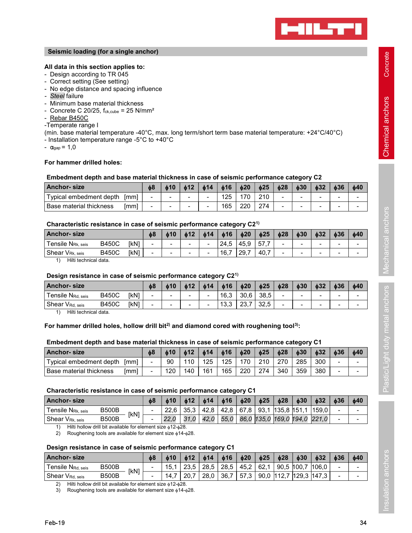

# All data in this section applies to:

- 
- 
- Seismic loading (for a single anchor)<br>All data in this section applies to:<br>- Design according to TR 045<br>- Correct setting (See setting)<br>- No edge distance and spacing influence<br>- Steel failure<br>- Minimum base material thick Seismic loading (for a single anchor)<br>All data in this section applies to:<br>- Design according to TR 045<br>- Correct setting (See setting)<br>- No edge distance and spacing influence<br>- Steel failure<br>- Minimum base material thick
- 
- 
- 
- 
- -Temperate range I

Seismic loading (for a single anchor)<br>
All data in this section applies to:<br>
- Design according to TR 045<br>
- Correct setting (See setting)<br>
- No edge distance and spacing influence<br>
- Steel failure<br>
- Concrete C 20/25, f<sub>c</sub> Seismic loading (for a single anchor)<br>
All data in this section applies to:<br>
- Design according to TR 045<br>
- Correct setting (See setting)<br>
- No edge distance and spacing influence<br>
- Steel failure<br>
- Minimum base materia Seismic loading (for a single anchor)<br>
All data in this section applies to:<br>
- Design according to TR 045<br>
- Correct setting (See setting)<br>
- Ne dege distance and spacing influence<br>
- Steel failure<br>
- Minimum base material Seismic loading (for a single anchor)<br>
All data in this section applies to:<br>
- Design according to TR 045<br>
- Correct setting (See setting)<br>
- No edge distance and spacing influence<br>
- *Steel* failure<br>
- *Minimum base mate* Seismic loading (for a single anchor)<br>
All data in this section applies to:<br>
- Design according to TR 045<br>
- Correct setting (See setting)<br>
- No edge distance and spacing influence<br>
- Steel failure<br>
- Minimum base materia - Steel failure<br>
- Minimum base material thickness<br>
- Concrete C 20/25, f<sub>ck,cube</sub> = 25 N/mm<sup>2</sup><br>
- <u>Rebar B450C</u><br>
- Temperature range I<br>
(min. base material temperature -40°C, max. long term/short term base material temper

- 
- $\alpha_{\text{gap}} = 1,0$

# For hammer drilled holes:

# Seismic loading (for a single anchor)<br>
All data in this section applies to:<br>
- Design according to TR 045<br>
- Correct setting (See setting)<br>
- No edge distance and spacing influence<br>
- Single distance and spacing influence Embedment depth and base material thickness in case of seismic performance category C2

| Seismic loading (for a single anchor)                                                                                                                                                                                                                                                                                                                                                                                                                                                                                                                                                                                               |              |      |                          |           |                          |                          |                   |                   |                   |                          |                | <b>PHILTI</b> |                          |           |
|-------------------------------------------------------------------------------------------------------------------------------------------------------------------------------------------------------------------------------------------------------------------------------------------------------------------------------------------------------------------------------------------------------------------------------------------------------------------------------------------------------------------------------------------------------------------------------------------------------------------------------------|--------------|------|--------------------------|-----------|--------------------------|--------------------------|-------------------|-------------------|-------------------|--------------------------|----------------|---------------|--------------------------|-----------|
| All data in this section applies to:<br>- Design according to TR 045<br>- Correct setting (See setting)<br>- No edge distance and spacing influence<br>- Steel failure<br>- Minimum base material thickness<br>- Concrete C 20/25, $f_{ck,cube} = 25$ N/mm <sup>2</sup><br>- Rebar B450C<br>-Temperate range I<br>(min. base material temperature -40°C, max. long term/short term base material temperature: +24°C/40°C)<br>- Installation temperature range -5°C to +40°C<br>- $\alpha_{\text{gap}} = 1,0$<br>For hammer drilled holes:<br>Embedment depth and base material thickness in case of seismic performance category C2 |              |      |                          |           |                          |                          |                   |                   |                   |                          |                |               |                          |           |
| <b>Anchor-size</b>                                                                                                                                                                                                                                                                                                                                                                                                                                                                                                                                                                                                                  |              |      | $\phi$ 8                 | $\phi$ 10 | $\phi$ 12                | $\phi$ 14                | $\phi$ 16         | $\phi$ 20         | $\phi$ 25         | $\phi$ 28                | $\phi$ 30      | $\phi$ 32     | $\phi$ 36                | $\phi$ 40 |
| Typical embedment depth                                                                                                                                                                                                                                                                                                                                                                                                                                                                                                                                                                                                             |              | [mm] | $\blacksquare$           |           | $\overline{\phantom{0}}$ | $\overline{\phantom{a}}$ | 125               | 170               | 210               | $\overline{\phantom{a}}$ | $\blacksquare$ |               |                          |           |
| Base material thickness                                                                                                                                                                                                                                                                                                                                                                                                                                                                                                                                                                                                             |              | [mm] | $\overline{\phantom{0}}$ |           | $\blacksquare$           | $\blacksquare$           | 165               | 220               | 274               |                          |                |               | $\overline{\phantom{0}}$ |           |
|                                                                                                                                                                                                                                                                                                                                                                                                                                                                                                                                                                                                                                     |              |      |                          |           |                          |                          |                   |                   |                   |                          |                |               |                          |           |
| Characteristic resistance in case of seismic performance category C2 <sup>1)</sup>                                                                                                                                                                                                                                                                                                                                                                                                                                                                                                                                                  |              |      |                          |           |                          |                          |                   |                   |                   |                          |                |               |                          |           |
| <b>Anchor-size</b><br>Tensile N <sub>Rk, seis</sub>                                                                                                                                                                                                                                                                                                                                                                                                                                                                                                                                                                                 | <b>B450C</b> | [KN] | $\phi$ 8                 | $\phi$ 10 | $\phi$ 12                | $\phi$ 14                | $\phi$ 16<br>24,5 | $\phi$ 20<br>45,9 | $\phi$ 25<br>57,7 | $\phi$ 28                | $\phi$ 30      | $\phi$ 32     | $\phi$ 36                | $\phi$ 40 |

# Characteristic resistance in case of seismic performance category C21)

| All data in this section applies to:<br>Design according to TR 045<br>Correct setting (See setting)<br>No edge distance and spacing influence<br>Steel failure<br>Minimum base material thickness<br>Concrete C 20/25, $f_{ck,cube} = 25$ N/mm <sup>2</sup><br>Rebar B450C<br>-Temperate range I<br>(min. base material temperature -40°C, max. long term/short term base material temperature: +24°C/40°C)<br>- Installation temperature range -5°C to +40°C<br>$\alpha_{\text{gap}} = 1,0$ |                          |                          |                          |                |           |           |           |                          |                |                              |                          |                |
|----------------------------------------------------------------------------------------------------------------------------------------------------------------------------------------------------------------------------------------------------------------------------------------------------------------------------------------------------------------------------------------------------------------------------------------------------------------------------------------------|--------------------------|--------------------------|--------------------------|----------------|-----------|-----------|-----------|--------------------------|----------------|------------------------------|--------------------------|----------------|
| For hammer drilled holes:<br>Embedment depth and base material thickness in case of seismic performance category C2                                                                                                                                                                                                                                                                                                                                                                          |                          |                          |                          |                |           |           |           |                          |                |                              |                          |                |
| <b>Anchor-</b> size                                                                                                                                                                                                                                                                                                                                                                                                                                                                          | $\phi$ 8                 | $\phi$ 10                | $\phi$ 12                | $\phi$ 14      | $\phi$ 16 | $\phi$ 20 | $\phi$ 25 | $\phi$ 28                | $\phi$ 30      | $\phi$ 32                    | $\phi$ 36                | $\phi$ 40      |
| Typical embedment depth [mm]                                                                                                                                                                                                                                                                                                                                                                                                                                                                 |                          |                          | $\blacksquare$           |                | 125       | 170       | 210       | $\overline{\phantom{a}}$ |                | $\blacksquare$               |                          |                |
| Base material thickness<br>[mm]                                                                                                                                                                                                                                                                                                                                                                                                                                                              |                          |                          | $\blacksquare$           | $\blacksquare$ | 165       | 220       | 274       | $\blacksquare$           | $\mathbf{r}$   | $\blacksquare$               | $\overline{\phantom{a}}$ | $\blacksquare$ |
|                                                                                                                                                                                                                                                                                                                                                                                                                                                                                              |                          |                          |                          |                |           |           |           |                          |                |                              |                          |                |
| Characteristic resistance in case of seismic performance category C2 <sup>1)</sup>                                                                                                                                                                                                                                                                                                                                                                                                           |                          |                          |                          |                |           |           |           |                          |                |                              |                          |                |
| <b>Anchor-size</b>                                                                                                                                                                                                                                                                                                                                                                                                                                                                           | $\phi$ 8                 | $\phi$ 10                | $\phi$ 12                | $\phi$ 14      | $\phi$ 16 | $\phi$ 20 | $\phi$ 25 | $\phi$ 28                | $\phi$ 30      | $\phi$ 32                    | $\phi$ 36                | $\phi$ 40      |
| <b>B450C</b><br>[kN]<br>Tensile NRk, seis                                                                                                                                                                                                                                                                                                                                                                                                                                                    |                          |                          | $\overline{\phantom{a}}$ |                | 24,5      | 45,9      | 57,7      |                          |                |                              |                          |                |
| <b>B450C</b><br>[kN]<br>Shear V <sub>Rk, seis</sub>                                                                                                                                                                                                                                                                                                                                                                                                                                          | $\blacksquare$           |                          |                          |                | 16,7      | 29,7      | 40,7      |                          | $\blacksquare$ |                              |                          |                |
| Hilti technical data.<br>1)                                                                                                                                                                                                                                                                                                                                                                                                                                                                  |                          |                          |                          |                |           |           |           |                          |                |                              |                          |                |
| Design resistance in case of seismic performance category C2 <sup>1)</sup>                                                                                                                                                                                                                                                                                                                                                                                                                   |                          |                          |                          |                |           |           |           |                          |                |                              |                          |                |
| <b>Anchor-size</b>                                                                                                                                                                                                                                                                                                                                                                                                                                                                           | $\phi$ 8                 | $\phi$ 10                | $\phi$ 12                | $\phi$ 14      | $\phi$ 16 | $\phi$ 20 | $\phi$ 25 | $\phi$ 28                | $\phi$ 30      | $\phi$ 32                    | $\phi$ 36                | $\phi$ 40      |
| <b>B450C</b><br>[kN]<br>Tensile N <sub>Rd. seis</sub>                                                                                                                                                                                                                                                                                                                                                                                                                                        | $\blacksquare$           | $\overline{\phantom{a}}$ | $\overline{\phantom{a}}$ |                | 16,3      | 30,6      | 38,5      | $\blacksquare$           | $\sim$         | ٠                            | $\overline{a}$           |                |
| <b>B450C</b><br>[kN]<br>Shear V <sub>Rd, seis</sub>                                                                                                                                                                                                                                                                                                                                                                                                                                          |                          |                          |                          |                | 13,3      | 23,7      | 32,5      |                          |                |                              |                          |                |
| Hilti technical data.<br>1)<br>For hammer drilled holes, hollow drill bit <sup>2)</sup> and diamond cored with roughening tool <sup>3)</sup> :                                                                                                                                                                                                                                                                                                                                               |                          |                          |                          |                |           |           |           |                          |                |                              |                          |                |
| Embedment depth and base material thickness in case of seismic performance category C1                                                                                                                                                                                                                                                                                                                                                                                                       |                          |                          |                          |                |           |           |           |                          |                |                              |                          |                |
| <b>Anchor-size</b>                                                                                                                                                                                                                                                                                                                                                                                                                                                                           | $\phi$ 8                 | $\phi$ 10                | $\phi$ 12                | $\phi$ 14      | $\phi$ 16 | $\phi$ 20 | $\phi$ 25 | $\phi$ 28                | $\phi$ 30      | $\phi$ 32                    | $\phi$ 36                | $\phi$ 40      |
| Typical embedment depth [mm]                                                                                                                                                                                                                                                                                                                                                                                                                                                                 |                          | 90                       | 110                      | 125            | 125       | 170       | 210       | 270                      | 285            | 300                          |                          | $\blacksquare$ |
| Base material thickness<br>[mm]                                                                                                                                                                                                                                                                                                                                                                                                                                                              |                          | 120                      | 140                      | 161            | 165       | 220       | 274       | 340                      | 359            | 380                          |                          |                |
| Characteristic resistance in case of seismic performance category C1                                                                                                                                                                                                                                                                                                                                                                                                                         |                          |                          |                          |                |           |           |           |                          |                |                              |                          |                |
| <b>Anchor-size</b>                                                                                                                                                                                                                                                                                                                                                                                                                                                                           | $\phi$ 8                 | $\phi$ 10                | $\phi$ 12                | $\phi$ 14      | $\phi$ 16 | $\phi$ 20 | $\phi$ 25 | $\phi$ 28                | $\phi$ 30      | $\phi$ 32                    | $\phi$ 36                | $\phi$ 40      |
| <b>B500B</b><br>Tensile N <sub>Rk, seis</sub><br>[kN]                                                                                                                                                                                                                                                                                                                                                                                                                                        | $\overline{\phantom{a}}$ | 22,6                     | 35,3                     | 42,8           | 42,8      | 67,8      |           | $93,1$ 135,8 151,1       |                | 159,0                        |                          | -              |
| <b>B500B</b><br>Shear V <sub>Rk, seis</sub><br>Hilti hollow drill bit available for element size \$12-\$28.<br>1)<br>Roughening tools are available for element size $\phi$ 14- $\phi$ 28.<br>2)                                                                                                                                                                                                                                                                                             |                          | 22,0                     | 31,0                     | 42,0           | 55,0      |           |           |                          |                | 86,0 135,0 169,0 194,0 221,0 |                          | -              |

# Design resistance in case of seismic performance category C21)

| <b>Anchor-size</b>          |              |             | 08                       | $\phi$ 10 | $\phi$ 12 | b14 | b16  | b20  | b25  | b28 | ф30 | b32 | ф36 | 640 |
|-----------------------------|--------------|-------------|--------------------------|-----------|-----------|-----|------|------|------|-----|-----|-----|-----|-----|
| Г <b>ensile N</b> rd. seis  | <b>B450C</b> | <b>IkN1</b> | -                        | -         |           | -   | 16.3 | 30.6 | 38.5 | -   | -   |     | -   | -   |
| Shear V <sub>Rd, seis</sub> | <b>B450C</b> | <b>IkN1</b> | $\overline{\phantom{a}}$ |           | -         | -   | 13,3 | 23.7 | 32.5 | -   | -   |     | -   | -   |

# For hammer drilled holes, hollow drill bit<sup>2</sup> and diamond cored with roughening tool<sup>3)</sup>:

| <b>Anchor-size</b>              | φ8 | $\phi$ 10 | $\phi$ 12 | $\phi$ 14 | $\phi$ 16 | 620 | $\phi$ 25 | b28 | b30 | $\phi$ 32 | <b>b36</b>               | $\phi$ 40 |
|---------------------------------|----|-----------|-----------|-----------|-----------|-----|-----------|-----|-----|-----------|--------------------------|-----------|
| Typical embedment depth<br>[mm] |    | 90        | 110       | 125       | 125       | 170 | 210       | 270 | 285 | 300       | -                        |           |
| Base material thickness<br>[mm] |    | 120       | 140       | 161       | 165       | 220 | 274       | 340 | 359 | 380       | $\overline{\phantom{a}}$ | -         |

| <b>ANCHOL</b> SIZE                                                                                             |                                                                       |      | Φŏ             | 01V            | 01Z            | 014            | $\mathbf{0}$<br>10 | O∠U       | ⊕∠ວ       | Φ∠ŏ                    | <b>03U</b>     | Q3Z                          | Q30            | <b>φ4υ</b>     |
|----------------------------------------------------------------------------------------------------------------|-----------------------------------------------------------------------|------|----------------|----------------|----------------|----------------|--------------------|-----------|-----------|------------------------|----------------|------------------------------|----------------|----------------|
| Tensile N <sub>Rk. seis</sub>                                                                                  | <b>B450C</b>                                                          | [kN] | $\blacksquare$ |                |                |                | 24,5               | 45,9      | 57,7      | $\overline{a}$         |                |                              |                |                |
| Shear VRk, seis                                                                                                | <b>B450C</b>                                                          | [kN] |                |                |                |                | 16,7               | 29,7      | 40,7      |                        |                |                              |                |                |
| Hilti technical data.<br>1)                                                                                    |                                                                       |      |                |                |                |                |                    |           |           |                        |                |                              |                |                |
| Design resistance in case of seismic performance category C2 <sup>1)</sup>                                     |                                                                       |      |                |                |                |                |                    |           |           |                        |                |                              |                |                |
|                                                                                                                |                                                                       |      |                |                |                |                |                    |           |           |                        |                |                              |                |                |
| <b>Anchor-size</b>                                                                                             |                                                                       |      | $\phi$ 8       | $\phi$ 10      | $\phi$ 12      | $\phi$ 14      | $\phi$ 16          | $\phi$ 20 | $\phi$ 25 | $\phi$ 28              | $\phi$ 30      | $\phi$ 32                    | $\phi$ 36      | $\phi$ 40      |
| Tensile N <sub>Rd. seis</sub>                                                                                  | <b>B450C</b>                                                          | [kN] | $\sim$         | $\blacksquare$ | $\blacksquare$ | $\blacksquare$ | 16,3               | 30,6      | 38,5      | $\blacksquare$         | $\blacksquare$ | $\blacksquare$               | $\blacksquare$ |                |
| Shear V <sub>Rd, seis</sub>                                                                                    | <b>B450C</b>                                                          | [kN] |                |                |                |                | 13,3               | 23,7      | 32,5      |                        |                |                              |                |                |
| Hilti technical data.<br>1)                                                                                    |                                                                       |      |                |                |                |                |                    |           |           |                        |                |                              |                |                |
| For hammer drilled holes, hollow drill bit <sup>2</sup> and diamond cored with roughening tool <sup>3)</sup> : |                                                                       |      |                |                |                |                |                    |           |           |                        |                |                              |                |                |
| Embedment depth and base material thickness in case of seismic performance category C1<br><b>Anchor-size</b>   |                                                                       |      | $\phi$ 8       | $\phi$ 10      | $\phi$ 12      | $\phi$ 14      | 016                | 620       | $\phi$ 25 | $\phi$ 28              | $\phi$ 30      | $\phi$ 32                    | $\phi$ 36      | $\phi$ 40      |
| Typical embedment depth [mm]                                                                                   |                                                                       |      |                | 90             | 110            | 125            | 125                | 170       | 210       | 270                    | 285            | 300                          | $\overline{a}$ |                |
| <b>Base material thickness</b>                                                                                 |                                                                       | [mm] |                | 120            | 140            | 161            | 165                | 220       | 274       | 340                    | 359            | 380                          | $\blacksquare$ |                |
|                                                                                                                |                                                                       |      |                |                |                |                |                    |           |           |                        |                |                              |                |                |
| Characteristic resistance in case of seismic performance category C1                                           |                                                                       |      |                |                |                |                |                    |           |           |                        |                |                              |                |                |
| Anchor- size                                                                                                   |                                                                       |      | $\phi$ 8       | 610            | $\phi$ 12      | $\phi$ 14      | $\phi$ 16          | $\phi$ 20 | $\phi$ 25 | $\phi$ 28              | $\phi$ 30      | $\phi$ 32                    | $\phi$ 36      | $\phi$ 40      |
| Tensile N <sub>Rk. seis</sub>                                                                                  | <b>B500B</b>                                                          |      | $\sim$         | 22,6           | 35,3           | 42,8           | 42,8               | 67,8      | 93,1      | $135,8$ 151,1          |                | 159,0                        |                |                |
| Shear V <sub>Rk, seis</sub>                                                                                    | <b>B500B</b>                                                          | [kN] |                | 22,0           | 31,0           | 42,0           | 55,0               |           |           |                        |                | 86,0 135,0 169,0 194,0 221,0 |                | $\blacksquare$ |
| $\left( \begin{matrix} 1 \end{matrix} \right)$                                                                 | Hilti hollow drill bit available for element size \$12-\$28.          |      |                |                |                |                |                    |           |           |                        |                |                              |                |                |
| 2)                                                                                                             | Roughening tools are available for element size $\phi$ 14- $\phi$ 28. |      |                |                |                |                |                    |           |           |                        |                |                              |                |                |
| Design resistance in case of seismic performance category C1                                                   |                                                                       |      |                |                |                |                |                    |           |           |                        |                |                              |                |                |
| <b>Anchor-size</b>                                                                                             |                                                                       |      | $\phi$ 8       | $\phi$ 10      | $\phi$ 12      | $\phi$ 14      | $\phi$ 16          | $\phi$ 20 | $\phi$ 25 | $\phi$ 28              | $\phi$ 30      | $\phi$ 32                    | $\phi$ 36      | $\phi$ 40      |
| Tensile N <sub>Rd, seis</sub>                                                                                  | <b>B500B</b>                                                          |      | $\blacksquare$ | 15,1           | 23,5           | 28,5           | 28,5               | 45,2      | 62,1      |                        | $90,5$ 100,7   | 106,0                        |                |                |
| Shear V <sub>Rd, seis</sub>                                                                                    | <b>B500B</b>                                                          | [kN] |                | 14,7           | 20,7           | 28,0           | 36,7               | 57,3      |           | 90,0 112,7 129,3 147,3 |                |                              |                |                |
| 2)                                                                                                             | Hilti hollow drill bit available for element size \$12-\$28.          |      |                |                |                |                |                    |           |           |                        |                |                              |                |                |
| 3)                                                                                                             | Roughening tools are available for element size $\phi$ 14- $\phi$ 28. |      |                |                |                |                |                    |           |           |                        |                |                              |                |                |
|                                                                                                                |                                                                       |      |                |                |                |                |                    |           |           |                        |                |                              |                |                |
|                                                                                                                |                                                                       |      |                |                |                |                |                    |           |           |                        |                |                              |                |                |
| Feb-19                                                                                                         |                                                                       |      |                |                |                |                |                    |           |           |                        |                |                              |                | 34             |
|                                                                                                                |                                                                       |      |                |                |                |                |                    |           |           |                        |                |                              |                |                |

| <b>Anchor-size</b>             |              |      | 68 | ዕ10  | $\phi$ 12 | ዕ14  | $\phi$ 16 | $\phi$ 20 | $\phi$ 25 | $\phi$ 28 | $\phi$ 30 | b32               | $\phi$ 3 $\epsilon$ | 040                      |
|--------------------------------|--------------|------|----|------|-----------|------|-----------|-----------|-----------|-----------|-----------|-------------------|---------------------|--------------------------|
| Tensile N <sub>Rd. seis</sub>  | <b>B500B</b> | [kN] |    |      | 23.5      | 28.5 | 28,5      | 45.2      | 62.1      | 90.5      | 100.7     | 106.0             | -                   | $\overline{\phantom{a}}$ |
| Shear<br>V <sub>Rd.</sub> seis | <b>B500B</b> |      |    | 14.7 | 20.7      | 28.0 | 36.7<br>- | 57.3      | 90,0      | 112.7     |           | ั I129.3 I147.3 เ |                     | -                        |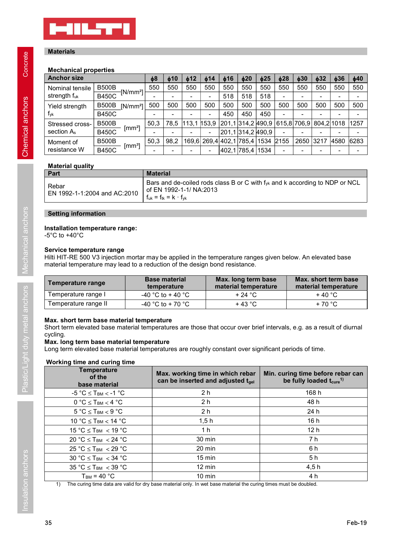

# **Materials**

# Mechanical properties

| <b>MILTI</b>                                                                                                |                              |                    |                                 |                                                               |                          |                       |                                             |                   |            |               |                                                                             |               |                                              |               |
|-------------------------------------------------------------------------------------------------------------|------------------------------|--------------------|---------------------------------|---------------------------------------------------------------|--------------------------|-----------------------|---------------------------------------------|-------------------|------------|---------------|-----------------------------------------------------------------------------|---------------|----------------------------------------------|---------------|
|                                                                                                             |                              |                    |                                 |                                                               |                          |                       |                                             |                   |            |               |                                                                             |               |                                              |               |
|                                                                                                             |                              |                    |                                 |                                                               |                          |                       |                                             |                   |            |               |                                                                             |               |                                              |               |
|                                                                                                             |                              |                    |                                 |                                                               |                          |                       |                                             |                   |            |               |                                                                             |               |                                              |               |
|                                                                                                             |                              |                    |                                 |                                                               |                          |                       |                                             |                   |            |               |                                                                             |               |                                              |               |
| <b>Materials</b>                                                                                            |                              |                    |                                 |                                                               |                          |                       |                                             |                   |            |               |                                                                             |               |                                              |               |
| <b>Mechanical properties</b>                                                                                |                              |                    |                                 |                                                               |                          |                       |                                             |                   |            |               |                                                                             |               |                                              |               |
| <b>Anchor size</b>                                                                                          |                              |                    | $\phi$ 8                        | $\phi$ 10                                                     | $\phi$ 12                | $\phi$ 14             | $\phi$ 16                                   | $\phi$ 20         | $\phi$ 25  | $\phi$ 28     | $\phi$ 30                                                                   | $\phi$ 32     | $\phi$ 36                                    | $\phi$ 40     |
| Nominal tensile                                                                                             | <b>B500B</b>                 | $-[N/mm^2]$        | 550                             | 550                                                           | 550                      | 550                   | 550                                         | 550               | 550        | 550           | 550                                                                         | 550           | 550                                          | 550           |
| strength fuk                                                                                                | <b>B450C</b>                 |                    |                                 | $\sim$                                                        | $\overline{\phantom{a}}$ | $\sim$                | 518                                         | 518               | 518        | $\sim$        | $\overline{\phantom{a}}$                                                    | $\sim$        | $\sim$                                       | $\sim$        |
| Yield strength<br>fyk                                                                                       | <b>B500B</b><br><b>B450C</b> | $[N/mm^2]$         | 500<br>$\overline{\phantom{a}}$ | 500<br>$\sim$                                                 | 500<br>$\blacksquare$    | 500<br>$\blacksquare$ | 500<br>450                                  | 500<br>450        | 500<br>450 | 500<br>$\sim$ | 500<br>$\blacksquare$                                                       | 500<br>$\sim$ | 500<br>$\blacksquare$                        | 500<br>$\sim$ |
| Stressed cross-                                                                                             | <b>B500B</b>                 |                    | 50,3                            | 78,5                                                          | $113,1$ 153,9            |                       |                                             |                   |            |               | 201,1 314,2 490,9  615,8 706,9  804,2 1018                                  |               |                                              | 1257          |
| section A <sub>s</sub>                                                                                      | <b>B450C</b>                 | [mm <sup>2</sup> ] |                                 |                                                               | $\overline{\phantom{a}}$ | $\blacksquare$        |                                             | 201,1 314,2 490,9 |            | $\sim$        |                                                                             |               |                                              |               |
| Moment of                                                                                                   | <b>B500B</b>                 | [mm <sup>3</sup> ] | 50,3                            | 98,2                                                          |                          |                       | 169,6 269,4 402,1 785,4 1534 2155           |                   |            |               |                                                                             | 2650 3217     | 4580 6283                                    |               |
| resistance W                                                                                                | <b>B450C</b>                 |                    |                                 | $\sim$                                                        | $\overline{\phantom{a}}$ | $\sim$                |                                             | 402,1 785,4 1534  |            | $\sim$        | $\blacksquare$                                                              | $\sim$        | $\sim$                                       | $\sim$        |
| <b>Material quality</b>                                                                                     |                              |                    |                                 |                                                               |                          |                       |                                             |                   |            |               |                                                                             |               |                                              |               |
| Part                                                                                                        |                              |                    | <b>Material</b>                 |                                                               |                          |                       |                                             |                   |            |               |                                                                             |               |                                              |               |
| Rebar<br>EN 1992-1-1:2004 and AC:2010                                                                       |                              |                    |                                 | of EN 1992-1-1/ NA:2013<br>$f_{uk} = f_{tk} = k \cdot f_{yk}$ |                          |                       |                                             |                   |            |               | Bars and de-coiled rods class B or C with fyk and k according to NDP or NCL |               |                                              |               |
| <b>Setting information</b>                                                                                  |                              |                    |                                 |                                                               |                          |                       |                                             |                   |            |               |                                                                             |               |                                              |               |
| Installation temperature range:                                                                             |                              |                    |                                 |                                                               |                          |                       |                                             |                   |            |               |                                                                             |               |                                              |               |
| -5°C to +40°C                                                                                               |                              |                    |                                 |                                                               |                          |                       |                                             |                   |            |               |                                                                             |               |                                              |               |
| Service temperature range                                                                                   |                              |                    |                                 |                                                               |                          |                       |                                             |                   |            |               |                                                                             |               |                                              |               |
| Hilti HIT-RE 500 V3 injection mortar may be applied in the temperature ranges given below. An elevated base |                              |                    |                                 |                                                               |                          |                       |                                             |                   |            |               |                                                                             |               |                                              |               |
| material temperature may lead to a reduction of the design bond resistance.                                 |                              |                    |                                 |                                                               |                          |                       |                                             |                   |            |               |                                                                             |               |                                              |               |
| <b>Temperature range</b>                                                                                    |                              |                    |                                 | <b>Base material</b><br>temperature                           |                          |                       | Max. long term base<br>material temperature |                   |            |               |                                                                             |               | Max. short term base<br>material temperature |               |
|                                                                                                             |                              |                    |                                 | -40 °C to + 40 °C                                             |                          |                       |                                             | $+24 °C$          |            |               |                                                                             | $+40 °C$      |                                              |               |
| Temperature range I                                                                                         | Temperature range II         |                    | -40 °C to + 70 °C               |                                                               |                          |                       | $+43 °C$                                    |                   |            |               |                                                                             | $+70 °C$      |                                              |               |

# Material quality

| <b>Part</b>                           | <b>Material</b>                                                                                                                                                |
|---------------------------------------|----------------------------------------------------------------------------------------------------------------------------------------------------------------|
| Rebar<br>EN 1992-1-1:2004 and AC:2010 | Bars and de-coiled rods class B or C with $f_{yk}$ and k according to NDP or NCL<br><sup>1</sup> of EN 1992-1-1/ NA:2013<br>$f_{uk} = f_{tk} = k \cdot f_{vk}$ |

# Setting information

# Installation temperature range:

# Service temperature range

| 169,6 269,4 402,1 785,4 1534 2155<br>2650 3217<br>98,2<br>4580<br><b>B500B</b><br>50,3<br>$\text{[mm}^3$<br><b>B450C</b><br>402,1 785,4 1534<br><b>Material</b><br>of EN 1992-1-1/ NA:2013<br>$f_{uk} = f_{tk} = k \cdot f_{vk}$ | 6283<br>Bars and de-coiled rods class B or C with f <sub>yk</sub> and k according to NDP or NCL<br><b>Base material</b><br>Max. long term base<br>Max, short term base<br>material temperature<br>material temperature<br>temperature<br>-40 °C to + 40 °C<br>$+24$ °C<br>$+40 °C$<br>-40 °C to + 70 °C<br>$+43 °C$<br>$+70 °C$                                                                                                                                                                                                                                                                                                                                                                                                                                                                                                            | section As                   | $\mathbf{I}$<br><b>B450C</b> |  |  |  | 201,1314,2490,9 |  |  |  |
|----------------------------------------------------------------------------------------------------------------------------------------------------------------------------------------------------------------------------------|--------------------------------------------------------------------------------------------------------------------------------------------------------------------------------------------------------------------------------------------------------------------------------------------------------------------------------------------------------------------------------------------------------------------------------------------------------------------------------------------------------------------------------------------------------------------------------------------------------------------------------------------------------------------------------------------------------------------------------------------------------------------------------------------------------------------------------------------|------------------------------|------------------------------|--|--|--|-----------------|--|--|--|
|                                                                                                                                                                                                                                  | resistance W<br><b>Material quality</b><br>Part<br>Rebar<br>EN 1992-1-1:2004 and AC:2010<br><b>Setting information</b><br>Installation temperature range:<br>$-5^{\circ}$ C to $+40^{\circ}$ C<br>Service temperature range<br>Hilti HIT-RE 500 V3 injection mortar may be applied in the temperature ranges given below. An elevated base<br>material temperature may lead to a reduction of the design bond resistance.<br><b>Temperature range</b><br>Temperature range I<br>Temperature range II<br>Max. short term base material temperature<br>Short term elevated base material temperatures are those that occur over brief intervals, e.g. as a result of diurnal<br>cycling.<br>Max. long term base material temperature<br>Long term elevated base material temperatures are roughly constant over significant periods of time. | Moment of                    |                              |  |  |  |                 |  |  |  |
|                                                                                                                                                                                                                                  |                                                                                                                                                                                                                                                                                                                                                                                                                                                                                                                                                                                                                                                                                                                                                                                                                                            |                              |                              |  |  |  |                 |  |  |  |
|                                                                                                                                                                                                                                  |                                                                                                                                                                                                                                                                                                                                                                                                                                                                                                                                                                                                                                                                                                                                                                                                                                            |                              |                              |  |  |  |                 |  |  |  |
|                                                                                                                                                                                                                                  |                                                                                                                                                                                                                                                                                                                                                                                                                                                                                                                                                                                                                                                                                                                                                                                                                                            |                              |                              |  |  |  |                 |  |  |  |
|                                                                                                                                                                                                                                  |                                                                                                                                                                                                                                                                                                                                                                                                                                                                                                                                                                                                                                                                                                                                                                                                                                            |                              |                              |  |  |  |                 |  |  |  |
|                                                                                                                                                                                                                                  |                                                                                                                                                                                                                                                                                                                                                                                                                                                                                                                                                                                                                                                                                                                                                                                                                                            |                              |                              |  |  |  |                 |  |  |  |
|                                                                                                                                                                                                                                  |                                                                                                                                                                                                                                                                                                                                                                                                                                                                                                                                                                                                                                                                                                                                                                                                                                            |                              |                              |  |  |  |                 |  |  |  |
|                                                                                                                                                                                                                                  |                                                                                                                                                                                                                                                                                                                                                                                                                                                                                                                                                                                                                                                                                                                                                                                                                                            |                              |                              |  |  |  |                 |  |  |  |
|                                                                                                                                                                                                                                  |                                                                                                                                                                                                                                                                                                                                                                                                                                                                                                                                                                                                                                                                                                                                                                                                                                            |                              |                              |  |  |  |                 |  |  |  |
|                                                                                                                                                                                                                                  |                                                                                                                                                                                                                                                                                                                                                                                                                                                                                                                                                                                                                                                                                                                                                                                                                                            |                              |                              |  |  |  |                 |  |  |  |
| <b>Temperature</b><br>Max. working time in which rebar<br>of the<br>can be inserted and adjusted tgel<br>be fully loaded $t_{\text{cure}}$ <sup>1)</sup><br>base material                                                        | Min. curing time before rebar can                                                                                                                                                                                                                                                                                                                                                                                                                                                                                                                                                                                                                                                                                                                                                                                                          | Working time and curing time |                              |  |  |  |                 |  |  |  |

# Max. short term base material temperature

# Working time and curing time

| material temperature may lead to a reduction of the design bond resistance. |                                     |                                                                       | Hilti HIT-RE 500 V3 injection mortar may be applied in the temperature ranges given below. An elevated base |  |
|-----------------------------------------------------------------------------|-------------------------------------|-----------------------------------------------------------------------|-------------------------------------------------------------------------------------------------------------|--|
| <b>Temperature range</b>                                                    | <b>Base material</b><br>temperature | Max. long term base<br>material temperature                           | Max. short term base<br>material temperature                                                                |  |
| Temperature range I                                                         | -40 °C to + 40 °C                   | $+24$ °C                                                              | $+40 °C$                                                                                                    |  |
| Temperature range II                                                        | -40 °C to + 70 °C                   | $+43$ °C                                                              | +70 °C                                                                                                      |  |
| <b>Temperature</b><br>of the<br>base material                               |                                     | Max. working time in which rebar<br>can be inserted and adjusted tgel | Min. curing time before rebar can<br>be fully loaded t <sub>cure</sub> <sup>1)</sup>                        |  |
| $-5 °C \le T_{BM} < -1 °C$                                                  |                                     | 2 <sub>h</sub>                                                        | 168 h                                                                                                       |  |
|                                                                             |                                     | 2 <sub>h</sub>                                                        | 48 h                                                                                                        |  |
| $0 °C \leq T_{BM} < 4 °C$                                                   |                                     |                                                                       |                                                                                                             |  |
| $5 °C \leq T_{BM} < 9 °C$                                                   |                                     | 2 <sub>h</sub>                                                        | 24 h                                                                                                        |  |
| 10 °C $\le$ T <sub>BM</sub> $<$ 14 °C                                       |                                     | 1,5h                                                                  | 16h                                                                                                         |  |
| 15 °C $\le$ T <sub>BM</sub> $\lt$ 19 °C                                     |                                     | 1 <sub>h</sub>                                                        | 12 <sub>h</sub>                                                                                             |  |
| 20 °C $\leq$ T <sub>BM</sub> $\lt$ 24 °C                                    |                                     | 30 min                                                                | 7 <sub>h</sub>                                                                                              |  |
| $25 °C \leq T_{BM} < 29 °C$                                                 |                                     | 20 min                                                                | 6 h                                                                                                         |  |
| 30 °C $\le$ T <sub>BM</sub> $\lt$ 34 °C                                     |                                     | $15 \text{ min}$                                                      | 5h                                                                                                          |  |
| 35 °C $\leq$ T <sub>BM</sub> $\lt$ 39 °C<br>$T_{BM}$ = 40 °C                |                                     | $12 \text{ min}$<br>$10 \text{ min}$                                  | 4,5h<br>4 h                                                                                                 |  |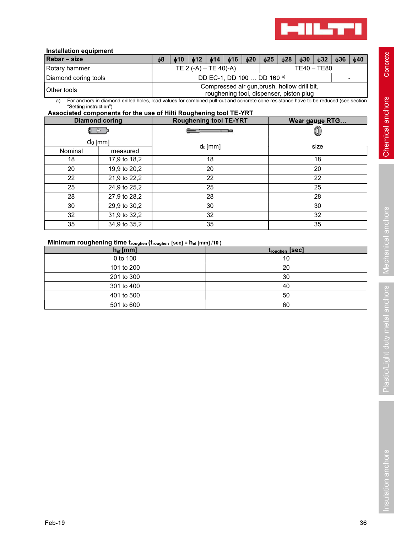

# Installation equipment

|                                                                                                                                                                      |          |           |           |                            |                               |                                                                                         |           |           | <b>MILTY!</b>  |             |           |                              |
|----------------------------------------------------------------------------------------------------------------------------------------------------------------------|----------|-----------|-----------|----------------------------|-------------------------------|-----------------------------------------------------------------------------------------|-----------|-----------|----------------|-------------|-----------|------------------------------|
| <b>Installation equipment</b>                                                                                                                                        |          |           |           |                            |                               |                                                                                         |           |           |                |             |           |                              |
| Rebar - size                                                                                                                                                         | $\phi$ 8 | $\phi$ 10 | $\phi$ 12 | $\phi$ 14                  | $\phi$ 16                     | $\phi$ 20                                                                               | $\phi$ 25 | $\phi$ 28 | $\phi$ 30      | $\phi$ 32   | $\phi$ 36 | $\phi$ 40                    |
| Rotary hammer                                                                                                                                                        |          |           |           | TE 2 $(-A)$ – TE 40 $(-A)$ |                               |                                                                                         |           |           |                | TE40 - TE80 |           |                              |
| Diamond coring tools                                                                                                                                                 |          |           |           |                            |                               | DD EC-1, DD 100  DD 160 a)                                                              |           |           |                |             |           | $\qquad \qquad \blacksquare$ |
| Other tools                                                                                                                                                          |          |           |           |                            |                               | Compressed air gun, brush, hollow drill bit,<br>roughening tool, dispenser, piston plug |           |           |                |             |           |                              |
| For anchors in diamond drilled holes, load values for combined pull-out and concrete cone resistance have to be reduced (see section<br>a)<br>"Setting instruction") |          |           |           |                            |                               |                                                                                         |           |           |                |             |           |                              |
| Associated components for the use of Hilti Roughening tool TE-YRT                                                                                                    |          |           |           |                            |                               |                                                                                         |           |           |                |             |           |                              |
| <b>Diamond coring</b>                                                                                                                                                |          |           |           |                            | <b>Roughening tool TE-YRT</b> |                                                                                         |           |           | Wear gauge RTG |             |           |                              |
| 5 B                                                                                                                                                                  |          |           |           |                            |                               |                                                                                         |           |           |                |             |           |                              |
| $dn$ [mm]                                                                                                                                                            |          |           |           |                            |                               |                                                                                         |           |           |                |             |           |                              |

|                                                                                                   |               |                                                                                                                                      |                                                                                         |           |                        | <b>MILTTI</b>   |           |                        |
|---------------------------------------------------------------------------------------------------|---------------|--------------------------------------------------------------------------------------------------------------------------------------|-----------------------------------------------------------------------------------------|-----------|------------------------|-----------------|-----------|------------------------|
| <b>Installation equipment</b><br>Rebar - size                                                     |               | $\phi$ 12<br>$\phi$ 8<br>$\phi$ 10                                                                                                   | $\phi$ 16<br>$\phi$ 14                                                                  | $\phi$ 20 | $\phi$ 25<br>$\phi$ 28 | $\phi$ 30       | $\phi$ 32 | $\phi$ 36<br>$\phi$ 40 |
| Rotary hammer                                                                                     |               |                                                                                                                                      | TE $2(-A) - TE 40(-A)$                                                                  |           |                        | TE40-TE80       |           |                        |
| Diamond coring tools                                                                              |               |                                                                                                                                      | DD EC-1, DD 100  DD 160 a)                                                              |           |                        |                 |           | $\blacksquare$         |
| Other tools                                                                                       |               |                                                                                                                                      | Compressed air gun, brush, hollow drill bit,<br>roughening tool, dispenser, piston plug |           |                        |                 |           |                        |
| a)<br>"Setting instruction")<br>Associated components for the use of Hilti Roughening tool TE-YRT |               | For anchors in diamond drilled holes, load values for combined pull-out and concrete cone resistance have to be reduced (see section |                                                                                         |           |                        |                 |           |                        |
| <b>Diamond coring</b>                                                                             |               |                                                                                                                                      | <b>Roughening tool TE-YRT</b>                                                           |           |                        | Wear gauge RTG  |           |                        |
| ේ ⊚ි ⊅ි                                                                                           |               |                                                                                                                                      | $\sim$ $\sim$ $\sim$ $\sim$ $\sim$ $\sim$                                               |           |                        | 0               |           |                        |
| $do$ [mm]                                                                                         |               |                                                                                                                                      |                                                                                         |           |                        |                 |           |                        |
| Nominal                                                                                           | measured      |                                                                                                                                      | $d_0$ [mm]                                                                              |           |                        | size            |           |                        |
| 18                                                                                                | 17,9 to 18,2  |                                                                                                                                      | 18                                                                                      |           |                        | 18              |           |                        |
| 20                                                                                                | 19,9 to 20,2  |                                                                                                                                      | 20                                                                                      |           |                        | $\overline{20}$ |           |                        |
| 22                                                                                                | 21,9 to 22,2  |                                                                                                                                      | $\overline{22}$                                                                         |           |                        | $\overline{22}$ |           |                        |
| $\overline{25}$                                                                                   | 24,9 to 25,2  |                                                                                                                                      | 25                                                                                      |           |                        | $\overline{25}$ |           |                        |
| $\overline{28}$                                                                                   | 27,9 to 28,2  |                                                                                                                                      | 28                                                                                      |           |                        | $\overline{28}$ |           |                        |
| 30                                                                                                | 29,9 to 30,2  |                                                                                                                                      | 30                                                                                      |           |                        | 30              |           |                        |
| 32                                                                                                | 31,9 to 32,2  |                                                                                                                                      | 32                                                                                      |           |                        | 32              |           |                        |
| 35                                                                                                | 34,9 to 35,2  |                                                                                                                                      | 35                                                                                      |           |                        | 35              |           |                        |
| Minimum roughening time troughen (troughen [sec] = hef [mm] /10)                                  |               |                                                                                                                                      |                                                                                         |           |                        |                 |           |                        |
|                                                                                                   | $h_{ef}$ [mm] |                                                                                                                                      |                                                                                         |           | troughen [Sec]         |                 |           |                        |
|                                                                                                   | 0 to 100      |                                                                                                                                      |                                                                                         |           | 10                     |                 |           |                        |
|                                                                                                   | 101 to 200    |                                                                                                                                      |                                                                                         |           | 20                     |                 |           |                        |
|                                                                                                   | 201 to 300    |                                                                                                                                      |                                                                                         |           | $30\,$                 |                 |           |                        |
|                                                                                                   | 301 to 400    |                                                                                                                                      |                                                                                         |           | 40                     |                 |           |                        |
|                                                                                                   | 401 to 500    |                                                                                                                                      |                                                                                         |           | 50                     |                 |           |                        |
|                                                                                                   | 501 to 600    |                                                                                                                                      |                                                                                         |           | 60                     |                 |           |                        |
|                                                                                                   |               |                                                                                                                                      |                                                                                         |           |                        |                 |           |                        |

# Minimum roughening time  $t_{\text{roughen}}$   $(t_{\text{roughen}}$  [sec] =  $h_{\text{ef}}$  [mm] /10 )

| $h_{ef}$ [mm] | troughen [Sec] |         |
|---------------|----------------|---------|
| 0 to 100      | 10             |         |
| 101 to 200    | 20             | Mechani |
| 201 to 300    | 30             |         |
| 301 to 400    | 40             |         |
| 401 to 500    | 50             | chors   |
| 501 to 600    | 60             |         |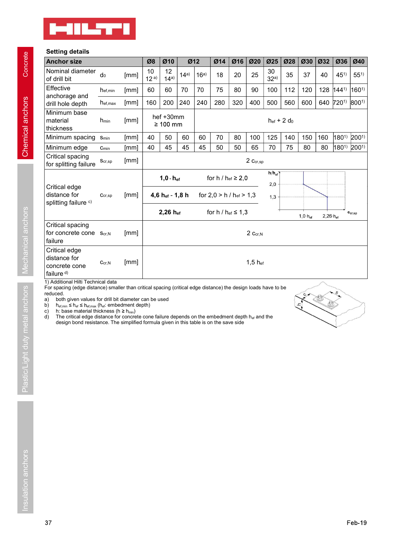

# Setting details

| <b>MILTI</b>                                                     |                          |              |            |                            |      |      |                              |     |                      |                    |     |                    |                     |                                         |                             |
|------------------------------------------------------------------|--------------------------|--------------|------------|----------------------------|------|------|------------------------------|-----|----------------------|--------------------|-----|--------------------|---------------------|-----------------------------------------|-----------------------------|
| <b>Setting details</b><br><b>Anchor size</b>                     |                          |              | Ø8         | Ø10                        | Ø12  |      | Ø14                          | Ø16 | Ø20                  | Ø25                | Ø28 | Ø30 Ø32            |                     | $ $ Ø36                                 | Ø40                         |
| Nominal diameter<br>of drill bit                                 | $d_0$                    | [mm]         | 10<br>12a) | 12<br>14a)                 | 14a) | 16a) | 18                           | 20  | 25                   | 30<br>32a)         | 35  | 37                 | 40                  | $45^{1}$                                | $55^{1}$                    |
| Effective                                                        | h <sub>ef,min</sub>      | [mm]         | 60         | 60                         | 70   | 70   | 75                           | 80  | 90                   | 100                | 112 | 120                |                     | 128 1441)                               | $160^{1}$                   |
| anchorage and<br>drill hole depth                                | $h_{\text{ef,max}}$      | [mm]         | 160        | 200                        | 240  | 240  | 280                          | 320 | 400                  | 500                | 560 | 600                |                     | 640 720 <sup>1)</sup> 800 <sup>1)</sup> |                             |
| Minimum base<br>material<br>thickness                            | h <sub>min</sub>         | [mm]         |            | hef +30mm<br>$\geq 100$ mm |      |      |                              |     |                      | $h_{ef}$ + 2 $d_0$ |     |                    |                     |                                         |                             |
| Minimum spacing S <sub>min</sub>                                 |                          | [mm]         | 40         | 50                         | 60   | 60   | 70                           | 80  | 100                  | 125                | 140 | 150                | 160                 | 180 <sup>1)</sup> 200 <sup>1)</sup>     |                             |
| Minimum edge<br>Critical spacing<br>for splitting failure        | $C_{min}$<br>$S_{cr,sp}$ | [mm]<br>[mm] | 40         | 45                         | 45   | 45   | 50                           | 50  | 65<br>$2\,c_{cr,sp}$ | 70                 | 75  | 80                 | 80                  | 1801) 2001)                             |                             |
|                                                                  |                          |              |            | $1,0 \cdot h_{\text{ef}}$  |      |      | for $h / h_{ef} \ge 2,0$     |     |                      | $h/h_{\text{ef}}$  |     |                    |                     |                                         |                             |
| Critical edge<br>distance for<br>splitting failure <sup>c)</sup> | $C_{cr,sp}$              | [mm]         |            | 4,6 $h_{ef}$ - 1,8 h       |      |      | for $2,0 > h / h_{ef} > 1,3$ |     |                      | 2,0<br>1,3         |     |                    |                     |                                         |                             |
|                                                                  |                          |              |            | 2,26 hef                   |      |      | for $h / h_{ef} \leq 1,3$    |     |                      |                    |     | $1,0 \cdot h_{ef}$ | $2,26 \cdot h_{ef}$ |                                         | $\mathbf{c}_{\text{cr,sp}}$ |
| Critical spacing<br>for concrete cone Scr,N<br>failure           |                          | [mm]         |            |                            |      |      |                              |     | $2\ c_{cr,N}$        |                    |     |                    |                     |                                         |                             |
| Critical edge<br>distance for<br>concrete cone                   | $C_{cr,N}$               | [mm]         |            |                            |      |      |                              |     | $1,5$ hef            |                    |     |                    |                     |                                         |                             |

a) bolt given values for circle in the distriction and be used<br>  $\frac{1}{10}$  by the base material thickness (h at  $\frac{1}{10}$  cm becomes the three cone failure depends on the embedment depth<br>
c) The ortical edge distance. The design and thickness ( $h \ge h_{min}$ ).<br>The critical edge distance for concrete cone failure depends on the embedment depth  $h_{eff}$  and the design bond resistance. The simplified formula given in this table is on the save side

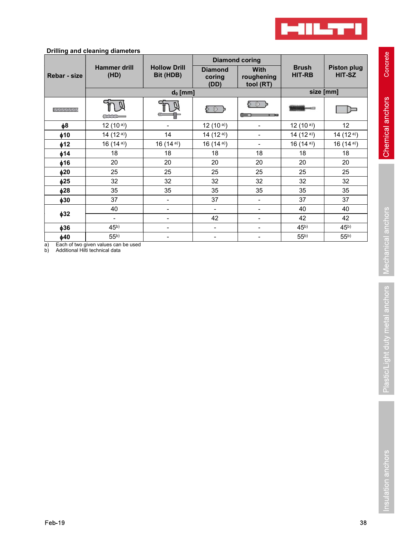

# Drilling and cleaning diameters

|               | <b>Drilling and cleaning diameters</b> |                                  |                                  |                                 |                               |                              |
|---------------|----------------------------------------|----------------------------------|----------------------------------|---------------------------------|-------------------------------|------------------------------|
|               |                                        |                                  |                                  | <b>Diamond coring</b>           |                               |                              |
| Rebar - size  | <b>Hammer drill</b><br>(HD)            | <b>Hollow Drill</b><br>Bit (HDB) | <b>Diamond</b><br>coring<br>(DD) | With<br>roughening<br>tool (RT) | <b>Brush</b><br><b>HIT-RB</b> | <b>Piston plug</b><br>HIT-SZ |
|               |                                        | $d_0$ [mm]                       |                                  |                                 |                               | size [mm]                    |
| 1/1/1/1/1/1/1 | $\sim$                                 |                                  | 5 O )                            | ጅ ® ቃ                           | <b>COMM</b>                   | $\Box$                       |
| φ8            | 12 $(10a)$                             | $\blacksquare$                   | 12 $(10a)$                       | $\overline{\phantom{a}}$        | 12 $(10a)$                    | 12                           |
| $\phi$ 10     | 14 $(12a)$                             | 14                               | 14 $(12a)$                       | $\blacksquare$                  | 14 $(12a)$                    | 14 $(12a)$                   |
| $\phi$ 12     | 16 $(14a)$                             | 16 $(14a)$                       | 16 $(14a)$                       | $\sim$                          | 16 $(14a)$                    | 16 $(14a)$                   |
| $\phi$ 14     | 18                                     | 18                               | 18                               | 18                              | 18                            | 18                           |
| $\phi$ 16     | 20                                     | $20\,$                           | $20\,$                           | $20\,$                          | $20\,$                        | $20\,$                       |
| $\phi$ 20     | 25                                     | 25                               | 25                               | 25                              | 25                            | 25                           |
| $\phi$ 25     | 32                                     | 32                               | 32                               | 32                              | 32                            | 32                           |
| $\phi$ 28     | 35                                     | 35                               | 35                               | 35                              | 35                            | 35                           |
| $\phi$ 30     | 37                                     | $\blacksquare$                   | 37                               | $\blacksquare$                  | 37                            | 37                           |
|               | 40                                     | $\overline{\phantom{a}}$         | $\blacksquare$                   | $\blacksquare$                  | 40                            | 40                           |
| $\phi$ 32     | $\blacksquare$                         | $\blacksquare$                   | 42                               | $\blacksquare$                  | 42                            | 42                           |
|               | 45 <sup>b</sup>                        | $\blacksquare$                   | $\blacksquare$                   | $\blacksquare$                  | 45 <sup>b</sup>               | 45 <sup>b</sup>              |
| $\phi$ 36     |                                        |                                  |                                  |                                 | 55 <sup>b</sup>               | 55 <sup>b</sup>              |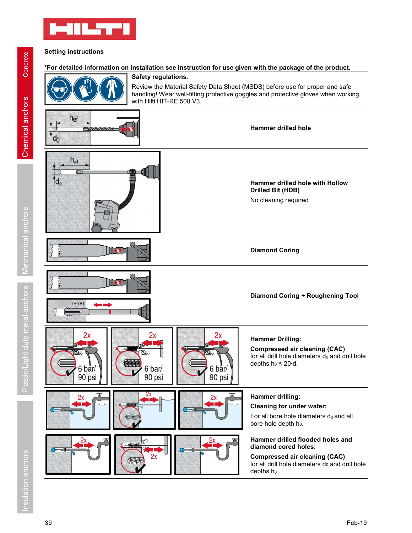

# Setting instructions

# \*For detailed information on installation see instruction for use given with the package of the product.



handling! Wear well-fitting protective goggles and protective gloves when working with Hilti HIT-RE 500 V3.